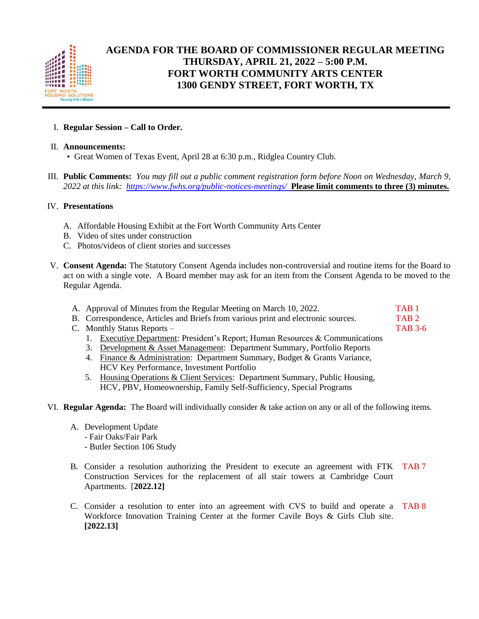

## **AGENDA FOR THE BOARD OF COMMISSIONER REGULAR MEETING THURSDAY, APRIL 21, 2022 – 5:00 P.M. FORT WORTH COMMUNITY ARTS CENTER 1300 GENDY STREET, FORT WORTH, TX**

## I. **Regular Session – Call to Order.**

## II. **Announcements:**

- Great Women of Texas Event, April 28 at 6:30 p.m., Ridglea Country Club.
- III. **Public Comments:** *You may fill out a public comment registration form before Noon on Wednesday, March 9, 2022 at this link: <https://www.fwhs.org/public-notices-meetings/>***Please limit comments to three (3) minutes.**

## IV. **Presentations**

- A. Affordable Housing Exhibit at the Fort Worth Community Arts Center
- B. Video of sites under construction
- C. Photos/videos of client stories and successes
- V. **Consent Agenda:** The Statutory Consent Agenda includes non-controversial and routine items for the Board to act on with a single vote. A Board member may ask for an item from the Consent Agenda to be moved to the Regular Agenda.
	- A. Approval of Minutes from the Regular Meeting on March 10, 2022. TAB 1 B. Correspondence, Articles and Briefs from various print and electronic sources. TAB 2 C. Monthly Status Reports – TAB 3-6
		- 1. Executive Department: President's Report; Human Resources & Communications
		- 3. Development & Asset Management: Department Summary, Portfolio Reports
		- 4. Finance & Administration: Department Summary, Budget & Grants Variance, HCV Key Performance, Investment Portfolio
		- 5. Housing Operations & Client Services: Department Summary, Public Housing, HCV, PBV, Homeownership, Family Self-Sufficiency, Special Programs
- VI. **Regular Agenda:** The Board will individually consider & take action on any or all of the following items.
	- A. Development Update
		- Fair Oaks/Fair Park
		- Butler Section 106 Study
	- B. Consider a resolution authorizing the President to execute an agreement with FTK TAB 7 Construction Services for the replacement of all stair towers at Cambridge Court Apartments. [**2022.12]**
	- C. Consider a resolution to enter into an agreement with CVS to build and operate a TAB 8 Workforce Innovation Training Center at the former Cavile Boys & Girls Club site. **[2022.13]**